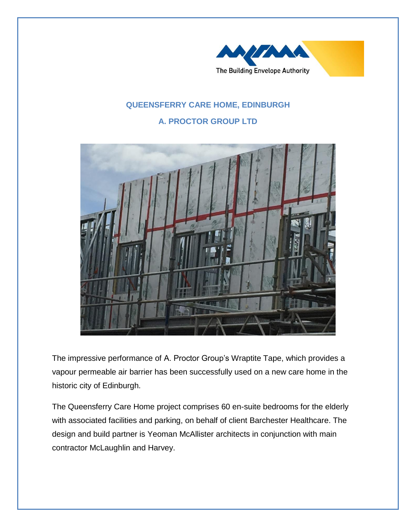

## **QUEENSFERRY CARE HOME, EDINBURGH**

## **A. PROCTOR GROUP LTD**



The impressive performance of A. Proctor Group's Wraptite Tape, which provides a vapour permeable air barrier has been successfully used on a new care home in the historic city of Edinburgh.

The Queensferry Care Home project comprises 60 en-suite bedrooms for the elderly with associated facilities and parking, on behalf of client Barchester Healthcare. The design and build partner is Yeoman McAllister architects in conjunction with main contractor McLaughlin and Harvey.